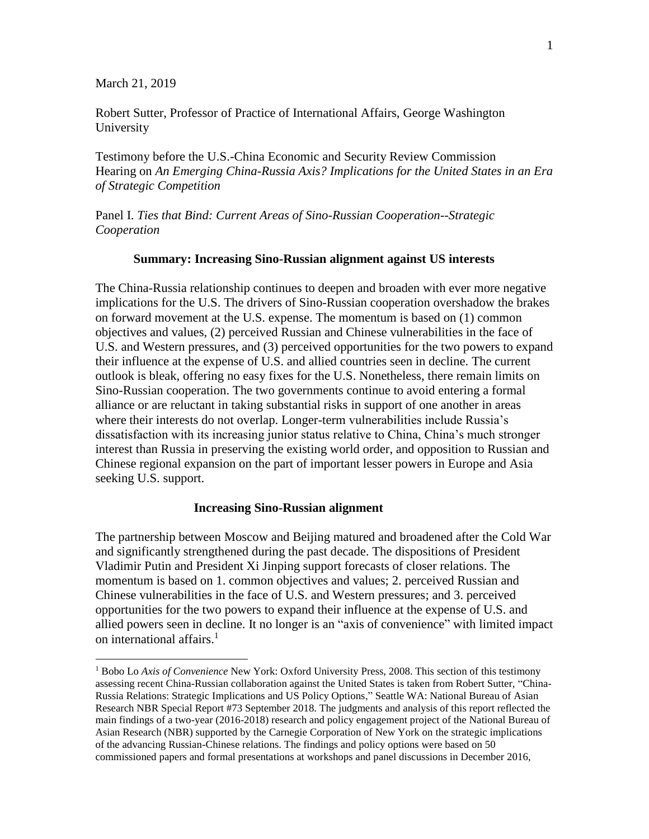March 21, 2019

 $\overline{a}$ 

Robert Sutter, Professor of Practice of International Affairs, George Washington University

Testimony before the U.S.-China Economic and Security Review Commission Hearing on *An Emerging China-Russia Axis? Implications for the United States in an Era of Strategic Competition*

Panel I. *Ties that Bind: Current Areas of Sino-Russian Cooperation--Strategic Cooperation*

### **Summary: Increasing Sino-Russian alignment against US interests**

The China-Russia relationship continues to deepen and broaden with ever more negative implications for the U.S. The drivers of Sino-Russian cooperation overshadow the brakes on forward movement at the U.S. expense. The momentum is based on (1) common objectives and values, (2) perceived Russian and Chinese vulnerabilities in the face of U.S. and Western pressures, and (3) perceived opportunities for the two powers to expand their influence at the expense of U.S. and allied countries seen in decline. The current outlook is bleak, offering no easy fixes for the U.S. Nonetheless, there remain limits on Sino-Russian cooperation. The two governments continue to avoid entering a formal alliance or are reluctant in taking substantial risks in support of one another in areas where their interests do not overlap. Longer-term vulnerabilities include Russia's dissatisfaction with its increasing junior status relative to China, China's much stronger interest than Russia in preserving the existing world order, and opposition to Russian and Chinese regional expansion on the part of important lesser powers in Europe and Asia seeking U.S. support.

### **Increasing Sino-Russian alignment**

The partnership between Moscow and Beijing matured and broadened after the Cold War and significantly strengthened during the past decade. The dispositions of President Vladimir Putin and President Xi Jinping support forecasts of closer relations. The momentum is based on 1. common objectives and values; 2. perceived Russian and Chinese vulnerabilities in the face of U.S. and Western pressures; and 3. perceived opportunities for the two powers to expand their influence at the expense of U.S. and allied powers seen in decline. It no longer is an "axis of convenience" with limited impact on international affairs. 1

<sup>1</sup> Bobo Lo *Axis of Convenience* New York: Oxford University Press, 2008. This section of this testimony assessing recent China-Russian collaboration against the United States is taken from Robert Sutter, "China-Russia Relations: Strategic Implications and US Policy Options," Seattle WA: National Bureau of Asian Research NBR Special Report #73 September 2018. The judgments and analysis of this report reflected the main findings of a two-year (2016-2018) research and policy engagement project of the National Bureau of Asian Research (NBR) supported by the Carnegie Corporation of New York on the strategic implications of the advancing Russian-Chinese relations. The findings and policy options were based on 50 commissioned papers and formal presentations at workshops and panel discussions in December 2016,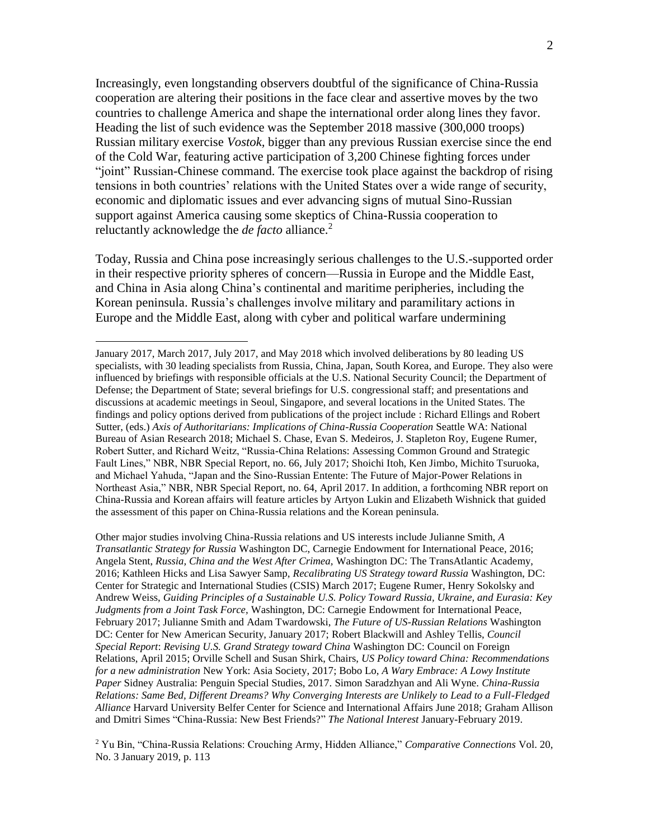Increasingly, even longstanding observers doubtful of the significance of China-Russia cooperation are altering their positions in the face clear and assertive moves by the two countries to challenge America and shape the international order along lines they favor. Heading the list of such evidence was the September 2018 massive (300,000 troops) Russian military exercise *Vostok,* bigger than any previous Russian exercise since the end of the Cold War, featuring active participation of 3,200 Chinese fighting forces under "joint" Russian-Chinese command. The exercise took place against the backdrop of rising tensions in both countries' relations with the United States over a wide range of security, economic and diplomatic issues and ever advancing signs of mutual Sino-Russian support against America causing some skeptics of China-Russia cooperation to reluctantly acknowledge the *de facto* alliance.<sup>2</sup>

Today, Russia and China pose increasingly serious challenges to the U.S.-supported order in their respective priority spheres of concern—Russia in Europe and the Middle East, and China in Asia along China's continental and maritime peripheries, including the Korean peninsula. Russia's challenges involve military and paramilitary actions in Europe and the Middle East, along with cyber and political warfare undermining

 $\overline{a}$ 

Other major studies involving China-Russia relations and US interests include Julianne Smith, *A Transatlantic Strategy for Russia* Washington DC, Carnegie Endowment for International Peace, 2016; Angela Stent, *Russia, China and the West After Crimea,* Washington DC: The TransAtlantic Academy, 2016; Kathleen Hicks and Lisa Sawyer Samp, *Recalibrating US Strategy toward Russia* Washington, DC: Center for Strategic and International Studies (CSIS) March 2017; Eugene Rumer, Henry Sokolsky and Andrew Weiss, *Guiding Principles of a Sustainable U.S. Policy Toward Russia, Ukraine, and Eurasia: Key Judgments from a Joint Task Force,* Washington, DC: Carnegie Endowment for International Peace, February 2017; Julianne Smith and Adam Twardowski, *The Future of US-Russian Relations* Washington DC: Center for New American Security, January 2017; Robert Blackwill and Ashley Tellis, *Council Special Report*: *Revising U.S. Grand Strategy toward China* Washington DC: Council on Foreign Relations, April 2015; Orville Schell and Susan Shirk, Chairs, *US Policy toward China: Recommendations for a new administration* New York: Asia Society, 2017; Bobo Lo, *A Wary Embrace: A Lowy Institute Paper* Sidney Australia: Penguin Special Studies, 2017. Simon Saradzhyan and Ali Wyne. *China-Russia Relations: Same Bed, Different Dreams? Why Converging Interests are Unlikely to Lead to a Full-Fledged Alliance* Harvard University Belfer Center for Science and International Affairs June 2018; Graham Allison and Dmitri Simes "China-Russia: New Best Friends?" *The National Interest* January-February 2019.

<sup>2</sup> Yu Bin, "China-Russia Relations: Crouching Army, Hidden Alliance," *Comparative Connections* Vol. 20, No. 3 January 2019, p. 113

January 2017, March 2017, July 2017, and May 2018 which involved deliberations by 80 leading US specialists, with 30 leading specialists from Russia, China, Japan, South Korea, and Europe. They also were influenced by briefings with responsible officials at the U.S. National Security Council; the Department of Defense; the Department of State; several briefings for U.S. congressional staff; and presentations and discussions at academic meetings in Seoul, Singapore, and several locations in the United States. The findings and policy options derived from publications of the project include : Richard Ellings and Robert Sutter, (eds.) *Axis of Authoritarians: Implications of China-Russia Cooperation* Seattle WA: National Bureau of Asian Research 2018; Michael S. Chase, Evan S. Medeiros, J. Stapleton Roy, Eugene Rumer, Robert Sutter, and Richard Weitz, "Russia-China Relations: Assessing Common Ground and Strategic Fault Lines," NBR, NBR Special Report, no. 66, July 2017; Shoichi Itoh, Ken Jimbo, Michito Tsuruoka, and Michael Yahuda, "Japan and the Sino-Russian Entente: The Future of Major-Power Relations in Northeast Asia," NBR, NBR Special Report, no. 64, April 2017. In addition, a forthcoming NBR report on China-Russia and Korean affairs will feature articles by Artyon Lukin and Elizabeth Wishnick that guided the assessment of this paper on China-Russia relations and the Korean peninsula.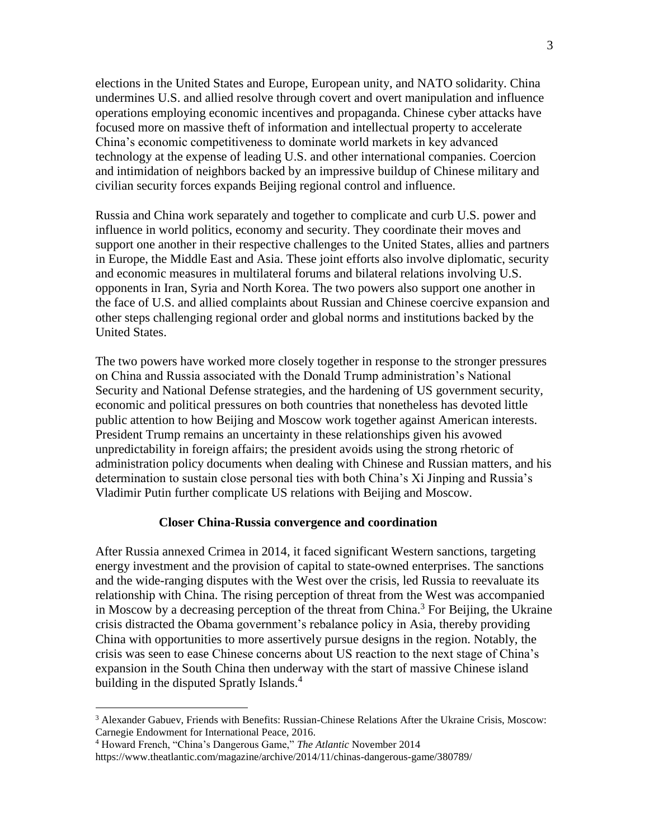elections in the United States and Europe, European unity, and NATO solidarity. China undermines U.S. and allied resolve through covert and overt manipulation and influence operations employing economic incentives and propaganda. Chinese cyber attacks have focused more on massive theft of information and intellectual property to accelerate China's economic competitiveness to dominate world markets in key advanced technology at the expense of leading U.S. and other international companies. Coercion and intimidation of neighbors backed by an impressive buildup of Chinese military and civilian security forces expands Beijing regional control and influence.

Russia and China work separately and together to complicate and curb U.S. power and influence in world politics, economy and security. They coordinate their moves and support one another in their respective challenges to the United States, allies and partners in Europe, the Middle East and Asia. These joint efforts also involve diplomatic, security and economic measures in multilateral forums and bilateral relations involving U.S. opponents in Iran, Syria and North Korea. The two powers also support one another in the face of U.S. and allied complaints about Russian and Chinese coercive expansion and other steps challenging regional order and global norms and institutions backed by the United States.

The two powers have worked more closely together in response to the stronger pressures on China and Russia associated with the Donald Trump administration's National Security and National Defense strategies, and the hardening of US government security, economic and political pressures on both countries that nonetheless has devoted little public attention to how Beijing and Moscow work together against American interests. President Trump remains an uncertainty in these relationships given his avowed unpredictability in foreign affairs; the president avoids using the strong rhetoric of administration policy documents when dealing with Chinese and Russian matters, and his determination to sustain close personal ties with both China's Xi Jinping and Russia's Vladimir Putin further complicate US relations with Beijing and Moscow.

#### **Closer China-Russia convergence and coordination**

After Russia annexed Crimea in 2014, it faced significant Western sanctions, targeting energy investment and the provision of capital to state-owned enterprises. The sanctions and the wide-ranging disputes with the West over the crisis, led Russia to reevaluate its relationship with China. The rising perception of threat from the West was accompanied in Moscow by a decreasing perception of the threat from China.<sup>3</sup> For Beijing, the Ukraine crisis distracted the Obama government's rebalance policy in Asia, thereby providing China with opportunities to more assertively pursue designs in the region. Notably, the crisis was seen to ease Chinese concerns about US reaction to the next stage of China's expansion in the South China then underway with the start of massive Chinese island building in the disputed Spratly Islands.<sup>4</sup>

<sup>&</sup>lt;sup>3</sup> Alexander Gabuev, Friends with Benefits: Russian-Chinese Relations After the Ukraine Crisis, Moscow: Carnegie Endowment for International Peace, 2016.

<sup>4</sup> Howard French, "China's Dangerous Game," *The Atlantic* November 2014

https://www.theatlantic.com/magazine/archive/2014/11/chinas-dangerous-game/380789/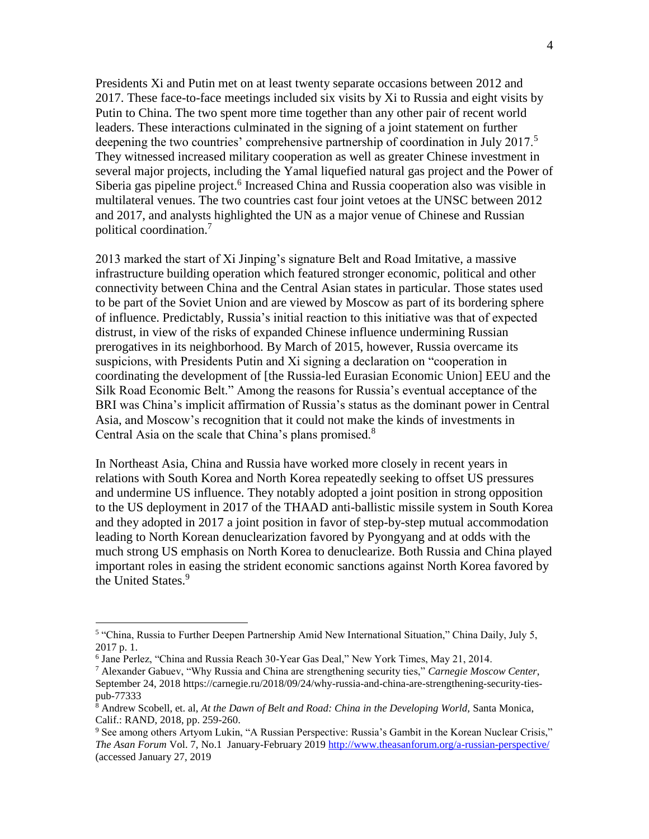Presidents Xi and Putin met on at least twenty separate occasions between 2012 and 2017. These face-to-face meetings included six visits by Xi to Russia and eight visits by Putin to China. The two spent more time together than any other pair of recent world leaders. These interactions culminated in the signing of a joint statement on further deepening the two countries' comprehensive partnership of coordination in July 2017.<sup>5</sup> They witnessed increased military cooperation as well as greater Chinese investment in several major projects, including the Yamal liquefied natural gas project and the Power of Siberia gas pipeline project.<sup>6</sup> Increased China and Russia cooperation also was visible in multilateral venues. The two countries cast four joint vetoes at the UNSC between 2012 and 2017, and analysts highlighted the UN as a major venue of Chinese and Russian political coordination.<sup>7</sup>

2013 marked the start of Xi Jinping's signature Belt and Road Imitative, a massive infrastructure building operation which featured stronger economic, political and other connectivity between China and the Central Asian states in particular. Those states used to be part of the Soviet Union and are viewed by Moscow as part of its bordering sphere of influence. Predictably, Russia's initial reaction to this initiative was that of expected distrust, in view of the risks of expanded Chinese influence undermining Russian prerogatives in its neighborhood. By March of 2015, however, Russia overcame its suspicions, with Presidents Putin and Xi signing a declaration on "cooperation in coordinating the development of [the Russia-led Eurasian Economic Union] EEU and the Silk Road Economic Belt." Among the reasons for Russia's eventual acceptance of the BRI was China's implicit affirmation of Russia's status as the dominant power in Central Asia, and Moscow's recognition that it could not make the kinds of investments in Central Asia on the scale that China's plans promised.<sup>8</sup>

In Northeast Asia, China and Russia have worked more closely in recent years in relations with South Korea and North Korea repeatedly seeking to offset US pressures and undermine US influence. They notably adopted a joint position in strong opposition to the US deployment in 2017 of the THAAD anti-ballistic missile system in South Korea and they adopted in 2017 a joint position in favor of step-by-step mutual accommodation leading to North Korean denuclearization favored by Pyongyang and at odds with the much strong US emphasis on North Korea to denuclearize. Both Russia and China played important roles in easing the strident economic sanctions against North Korea favored by the United States. 9

<sup>&</sup>lt;sup>5</sup> "China, Russia to Further Deepen Partnership Amid New International Situation," China Daily, July 5, 2017 p. 1.

<sup>6</sup> Jane Perlez, "China and Russia Reach 30-Year Gas Deal," New York Times, May 21, 2014.

<sup>7</sup> Alexander Gabuev, "Why Russia and China are strengthening security ties," *Carnegie Moscow Center*, September 24, 2018 https://carnegie.ru/2018/09/24/why-russia-and-china-are-strengthening-security-tiespub-77333

<sup>8</sup> Andrew Scobell, et. al, *At the Dawn of Belt and Road: China in the Developing World,* Santa Monica, Calif.: RAND, 2018, pp. 259-260.

<sup>9</sup> See among others Artyom Lukin, "A Russian Perspective: Russia's Gambit in the Korean Nuclear Crisis," *The Asan Forum* Vol. 7, No.1 January-February 2019<http://www.theasanforum.org/a-russian-perspective/> (accessed January 27, 2019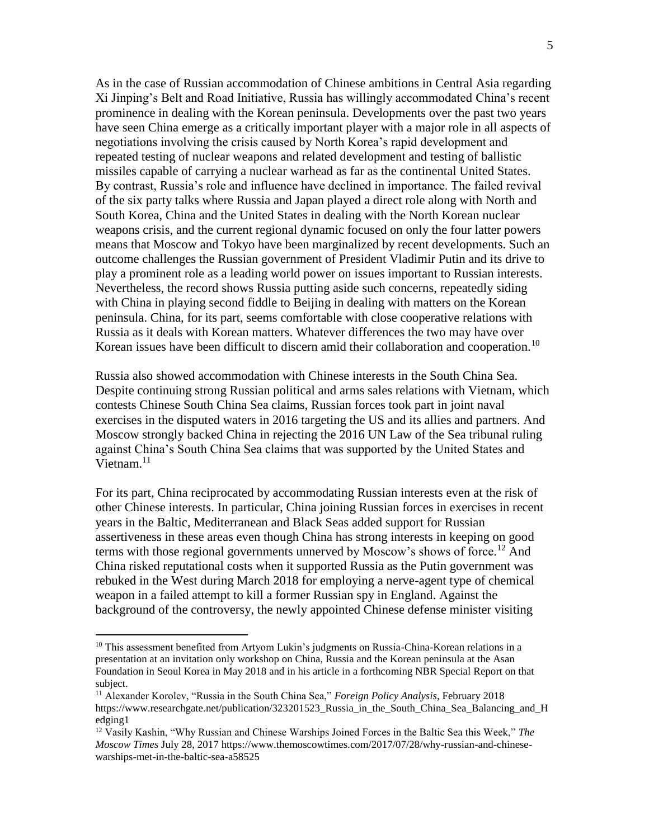As in the case of Russian accommodation of Chinese ambitions in Central Asia regarding Xi Jinping's Belt and Road Initiative, Russia has willingly accommodated China's recent prominence in dealing with the Korean peninsula. Developments over the past two years have seen China emerge as a critically important player with a major role in all aspects of negotiations involving the crisis caused by North Korea's rapid development and repeated testing of nuclear weapons and related development and testing of ballistic missiles capable of carrying a nuclear warhead as far as the continental United States. By contrast, Russia's role and influence have declined in importance. The failed revival of the six party talks where Russia and Japan played a direct role along with North and South Korea, China and the United States in dealing with the North Korean nuclear weapons crisis, and the current regional dynamic focused on only the four latter powers means that Moscow and Tokyo have been marginalized by recent developments. Such an outcome challenges the Russian government of President Vladimir Putin and its drive to play a prominent role as a leading world power on issues important to Russian interests. Nevertheless, the record shows Russia putting aside such concerns, repeatedly siding with China in playing second fiddle to Beijing in dealing with matters on the Korean peninsula. China, for its part, seems comfortable with close cooperative relations with Russia as it deals with Korean matters. Whatever differences the two may have over Korean issues have been difficult to discern amid their collaboration and cooperation.<sup>10</sup>

Russia also showed accommodation with Chinese interests in the South China Sea. Despite continuing strong Russian political and arms sales relations with Vietnam, which contests Chinese South China Sea claims, Russian forces took part in joint naval exercises in the disputed waters in 2016 targeting the US and its allies and partners. And Moscow strongly backed China in rejecting the 2016 UN Law of the Sea tribunal ruling against China's South China Sea claims that was supported by the United States and Vietnam. 11

For its part, China reciprocated by accommodating Russian interests even at the risk of other Chinese interests. In particular, China joining Russian forces in exercises in recent years in the Baltic, Mediterranean and Black Seas added support for Russian assertiveness in these areas even though China has strong interests in keeping on good terms with those regional governments unnerved by Moscow's shows of force.<sup>12</sup> And China risked reputational costs when it supported Russia as the Putin government was rebuked in the West during March 2018 for employing a nerve-agent type of chemical weapon in a failed attempt to kill a former Russian spy in England. Against the background of the controversy, the newly appointed Chinese defense minister visiting

<sup>&</sup>lt;sup>10</sup> This assessment benefited from Artyom Lukin's judgments on Russia-China-Korean relations in a presentation at an invitation only workshop on China, Russia and the Korean peninsula at the Asan Foundation in Seoul Korea in May 2018 and in his article in a forthcoming NBR Special Report on that subject.

<sup>11</sup> Alexander Korolev, "Russia in the South China Sea," *Foreign Policy Analysis*, February 2018 https://www.researchgate.net/publication/323201523 Russia in the South China Sea Balancing and H edging1

<sup>12</sup> Vasily Kashin, "Why Russian and Chinese Warships Joined Forces in the Baltic Sea this Week," *The Moscow Times* July 28, 2017 https://www.themoscowtimes.com/2017/07/28/why-russian-and-chinesewarships-met-in-the-baltic-sea-a58525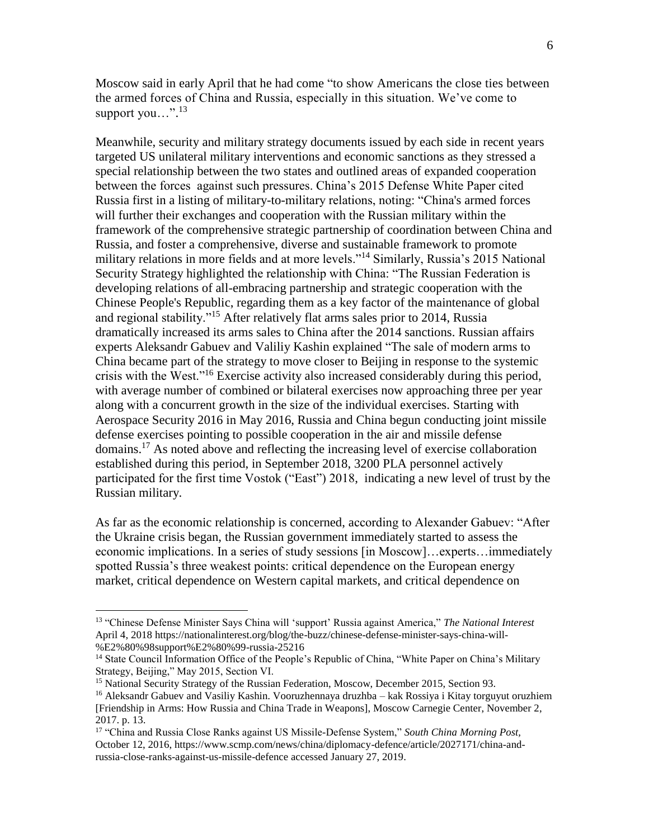Moscow said in early April that he had come "to show Americans the close ties between the armed forces of China and Russia, especially in this situation. We've come to support you...".<sup>13</sup>

Meanwhile, security and military strategy documents issued by each side in recent years targeted US unilateral military interventions and economic sanctions as they stressed a special relationship between the two states and outlined areas of expanded cooperation between the forces against such pressures. China's 2015 Defense White Paper cited Russia first in a listing of military-to-military relations, noting: "China's armed forces will further their exchanges and cooperation with the Russian military within the framework of the comprehensive strategic partnership of coordination between China and Russia, and foster a comprehensive, diverse and sustainable framework to promote military relations in more fields and at more levels."<sup>14</sup> Similarly, Russia's 2015 National Security Strategy highlighted the relationship with China: "The Russian Federation is developing relations of all-embracing partnership and strategic cooperation with the Chinese People's Republic, regarding them as a key factor of the maintenance of global and regional stability."<sup>15</sup> After relatively flat arms sales prior to 2014, Russia dramatically increased its arms sales to China after the 2014 sanctions. Russian affairs experts Aleksandr Gabuev and Valiliy Kashin explained "The sale of modern arms to China became part of the strategy to move closer to Beijing in response to the systemic crisis with the West."<sup>16</sup> Exercise activity also increased considerably during this period, with average number of combined or bilateral exercises now approaching three per year along with a concurrent growth in the size of the individual exercises. Starting with Aerospace Security 2016 in May 2016, Russia and China begun conducting joint missile defense exercises pointing to possible cooperation in the air and missile defense domains.<sup>17</sup> As noted above and reflecting the increasing level of exercise collaboration established during this period, in September 2018, 3200 PLA personnel actively participated for the first time Vostok ("East") 2018, indicating a new level of trust by the Russian military.

As far as the economic relationship is concerned, according to Alexander Gabuev: "After the Ukraine crisis began, the Russian government immediately started to assess the economic implications. In a series of study sessions [in Moscow]…experts…immediately spotted Russia's three weakest points: critical dependence on the European energy market, critical dependence on Western capital markets, and critical dependence on

<sup>13</sup> "Chinese Defense Minister Says China will 'support' Russia against America," *The National Interest* April 4, 2018 https://nationalinterest.org/blog/the-buzz/chinese-defense-minister-says-china-will- %E2%80%98support%E2%80%99-russia-25216

<sup>&</sup>lt;sup>14</sup> State Council Information Office of the People's Republic of China, "White Paper on China's Military Strategy, Beijing," May 2015, Section VI.

<sup>&</sup>lt;sup>15</sup> National Security Strategy of the Russian Federation, Moscow, December 2015, Section 93.

<sup>16</sup> Aleksandr Gabuev and Vasiliy Kashin. Vooruzhennaya druzhba – kak Rossiya i Kitay torguyut oruzhiem [Friendship in Arms: How Russia and China Trade in Weapons], Moscow Carnegie Center, November 2, 2017. p. 13.

<sup>17</sup> "China and Russia Close Ranks against US Missile-Defense System," *South China Morning Post,* October 12, 2016, https://www.scmp.com/news/china/diplomacy-defence/article/2027171/china-andrussia-close-ranks-against-us-missile-defence accessed January 27, 2019.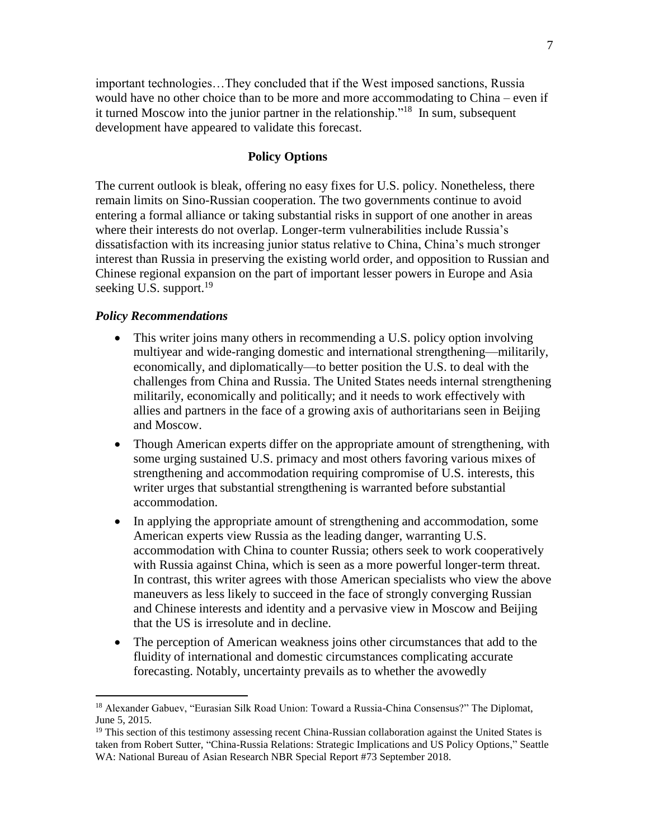important technologies…They concluded that if the West imposed sanctions, Russia would have no other choice than to be more and more accommodating to China – even if it turned Moscow into the junior partner in the relationship."<sup>18</sup> In sum, subsequent development have appeared to validate this forecast.

## **Policy Options**

The current outlook is bleak, offering no easy fixes for U.S. policy. Nonetheless, there remain limits on Sino-Russian cooperation. The two governments continue to avoid entering a formal alliance or taking substantial risks in support of one another in areas where their interests do not overlap. Longer-term vulnerabilities include Russia's dissatisfaction with its increasing junior status relative to China, China's much stronger interest than Russia in preserving the existing world order, and opposition to Russian and Chinese regional expansion on the part of important lesser powers in Europe and Asia seeking U.S. support.<sup>19</sup>

### *Policy Recommendations*

- This writer joins many others in recommending a U.S. policy option involving multiyear and wide-ranging domestic and international strengthening—militarily, economically, and diplomatically—to better position the U.S. to deal with the challenges from China and Russia. The United States needs internal strengthening militarily, economically and politically; and it needs to work effectively with allies and partners in the face of a growing axis of authoritarians seen in Beijing and Moscow.
- Though American experts differ on the appropriate amount of strengthening, with some urging sustained U.S. primacy and most others favoring various mixes of strengthening and accommodation requiring compromise of U.S. interests, this writer urges that substantial strengthening is warranted before substantial accommodation.
- In applying the appropriate amount of strengthening and accommodation, some American experts view Russia as the leading danger, warranting U.S. accommodation with China to counter Russia; others seek to work cooperatively with Russia against China, which is seen as a more powerful longer-term threat. In contrast, this writer agrees with those American specialists who view the above maneuvers as less likely to succeed in the face of strongly converging Russian and Chinese interests and identity and a pervasive view in Moscow and Beijing that the US is irresolute and in decline.
- The perception of American weakness joins other circumstances that add to the fluidity of international and domestic circumstances complicating accurate forecasting. Notably, uncertainty prevails as to whether the avowedly

<sup>18</sup> Alexander Gabuev, "Eurasian Silk Road Union: Toward a Russia-China Consensus?" The Diplomat, June 5, 2015.

<sup>&</sup>lt;sup>19</sup> This section of this testimony assessing recent China-Russian collaboration against the United States is taken from Robert Sutter, "China-Russia Relations: Strategic Implications and US Policy Options," Seattle WA: National Bureau of Asian Research NBR Special Report #73 September 2018.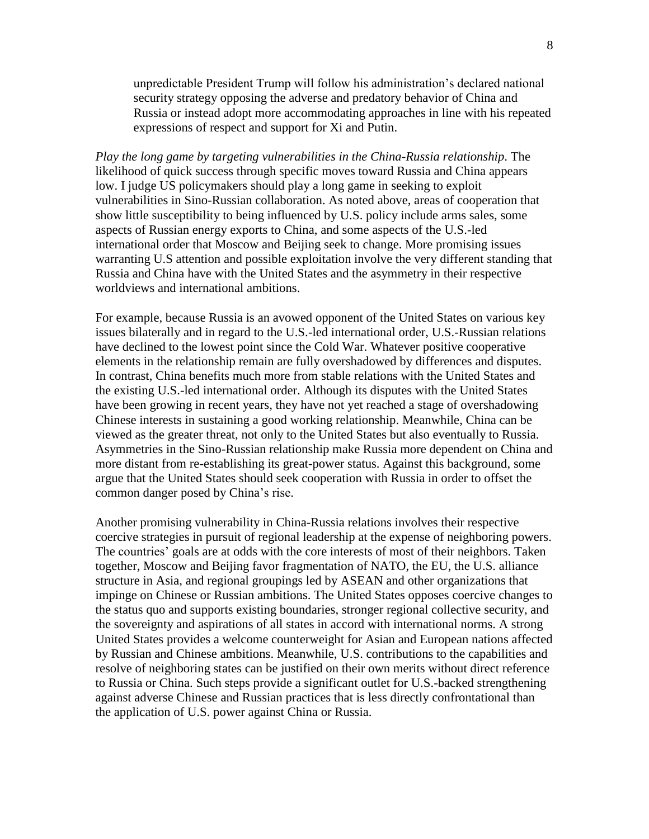unpredictable President Trump will follow his administration's declared national security strategy opposing the adverse and predatory behavior of China and Russia or instead adopt more accommodating approaches in line with his repeated expressions of respect and support for Xi and Putin.

*Play the long game by targeting vulnerabilities in the China-Russia relationship*. The likelihood of quick success through specific moves toward Russia and China appears low. I judge US policymakers should play a long game in seeking to exploit vulnerabilities in Sino-Russian collaboration. As noted above, areas of cooperation that show little susceptibility to being influenced by U.S. policy include arms sales, some aspects of Russian energy exports to China, and some aspects of the U.S.-led international order that Moscow and Beijing seek to change. More promising issues warranting U.S attention and possible exploitation involve the very different standing that Russia and China have with the United States and the asymmetry in their respective worldviews and international ambitions.

For example, because Russia is an avowed opponent of the United States on various key issues bilaterally and in regard to the U.S.-led international order, U.S.-Russian relations have declined to the lowest point since the Cold War. Whatever positive cooperative elements in the relationship remain are fully overshadowed by differences and disputes. In contrast, China benefits much more from stable relations with the United States and the existing U.S.-led international order. Although its disputes with the United States have been growing in recent years, they have not yet reached a stage of overshadowing Chinese interests in sustaining a good working relationship. Meanwhile, China can be viewed as the greater threat, not only to the United States but also eventually to Russia. Asymmetries in the Sino-Russian relationship make Russia more dependent on China and more distant from re-establishing its great-power status. Against this background, some argue that the United States should seek cooperation with Russia in order to offset the common danger posed by China's rise.

Another promising vulnerability in China-Russia relations involves their respective coercive strategies in pursuit of regional leadership at the expense of neighboring powers. The countries' goals are at odds with the core interests of most of their neighbors. Taken together, Moscow and Beijing favor fragmentation of NATO, the EU, the U.S. alliance structure in Asia, and regional groupings led by ASEAN and other organizations that impinge on Chinese or Russian ambitions. The United States opposes coercive changes to the status quo and supports existing boundaries, stronger regional collective security, and the sovereignty and aspirations of all states in accord with international norms. A strong United States provides a welcome counterweight for Asian and European nations affected by Russian and Chinese ambitions. Meanwhile, U.S. contributions to the capabilities and resolve of neighboring states can be justified on their own merits without direct reference to Russia or China. Such steps provide a significant outlet for U.S.-backed strengthening against adverse Chinese and Russian practices that is less directly confrontational than the application of U.S. power against China or Russia.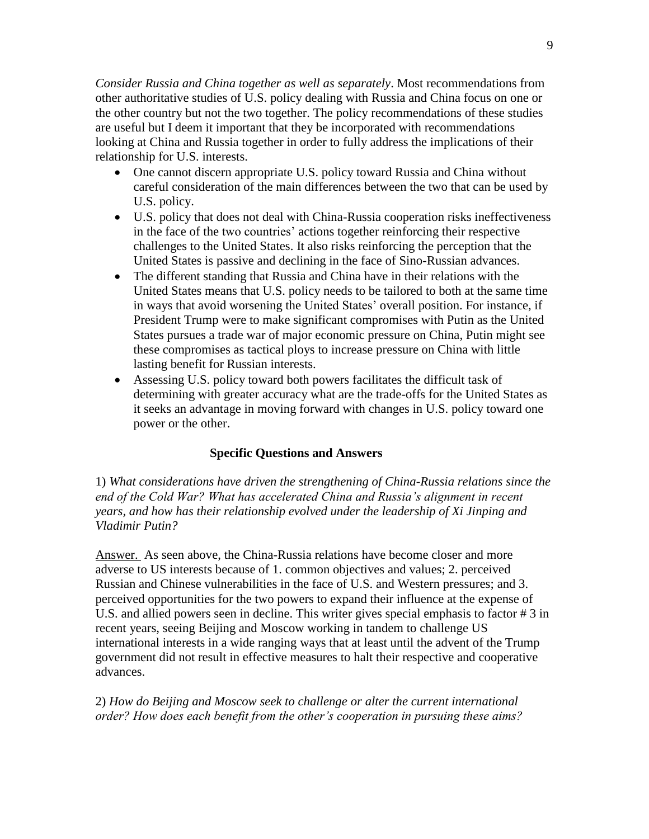*Consider Russia and China together as well as separately*. Most recommendations from other authoritative studies of U.S. policy dealing with Russia and China focus on one or the other country but not the two together. The policy recommendations of these studies are useful but I deem it important that they be incorporated with recommendations looking at China and Russia together in order to fully address the implications of their relationship for U.S. interests.

- One cannot discern appropriate U.S. policy toward Russia and China without careful consideration of the main differences between the two that can be used by U.S. policy.
- U.S. policy that does not deal with China-Russia cooperation risks ineffectiveness in the face of the two countries' actions together reinforcing their respective challenges to the United States. It also risks reinforcing the perception that the United States is passive and declining in the face of Sino-Russian advances.
- The different standing that Russia and China have in their relations with the United States means that U.S. policy needs to be tailored to both at the same time in ways that avoid worsening the United States' overall position. For instance, if President Trump were to make significant compromises with Putin as the United States pursues a trade war of major economic pressure on China, Putin might see these compromises as tactical ploys to increase pressure on China with little lasting benefit for Russian interests.
- Assessing U.S. policy toward both powers facilitates the difficult task of determining with greater accuracy what are the trade-offs for the United States as it seeks an advantage in moving forward with changes in U.S. policy toward one power or the other.

# **Specific Questions and Answers**

1) *What considerations have driven the strengthening of China-Russia relations since the end of the Cold War? What has accelerated China and Russia's alignment in recent years, and how has their relationship evolved under the leadership of Xi Jinping and Vladimir Putin?*

Answer. As seen above, the China-Russia relations have become closer and more adverse to US interests because of 1. common objectives and values; 2. perceived Russian and Chinese vulnerabilities in the face of U.S. and Western pressures; and 3. perceived opportunities for the two powers to expand their influence at the expense of U.S. and allied powers seen in decline. This writer gives special emphasis to factor # 3 in recent years, seeing Beijing and Moscow working in tandem to challenge US international interests in a wide ranging ways that at least until the advent of the Trump government did not result in effective measures to halt their respective and cooperative advances.

2) *How do Beijing and Moscow seek to challenge or alter the current international order? How does each benefit from the other's cooperation in pursuing these aims?*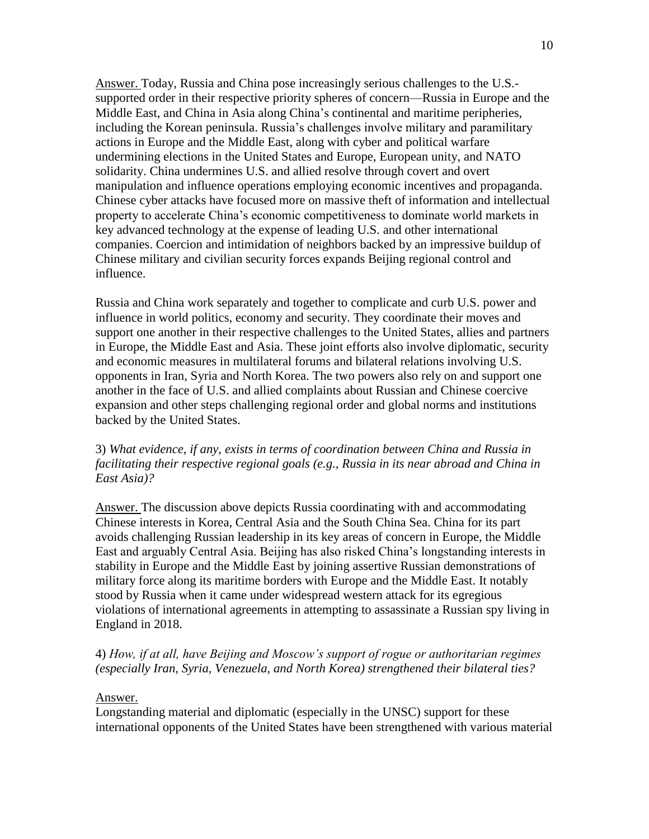Answer. Today, Russia and China pose increasingly serious challenges to the U.S. supported order in their respective priority spheres of concern—Russia in Europe and the Middle East, and China in Asia along China's continental and maritime peripheries, including the Korean peninsula. Russia's challenges involve military and paramilitary actions in Europe and the Middle East, along with cyber and political warfare undermining elections in the United States and Europe, European unity, and NATO solidarity. China undermines U.S. and allied resolve through covert and overt manipulation and influence operations employing economic incentives and propaganda. Chinese cyber attacks have focused more on massive theft of information and intellectual property to accelerate China's economic competitiveness to dominate world markets in key advanced technology at the expense of leading U.S. and other international companies. Coercion and intimidation of neighbors backed by an impressive buildup of Chinese military and civilian security forces expands Beijing regional control and influence.

Russia and China work separately and together to complicate and curb U.S. power and influence in world politics, economy and security. They coordinate their moves and support one another in their respective challenges to the United States, allies and partners in Europe, the Middle East and Asia. These joint efforts also involve diplomatic, security and economic measures in multilateral forums and bilateral relations involving U.S. opponents in Iran, Syria and North Korea. The two powers also rely on and support one another in the face of U.S. and allied complaints about Russian and Chinese coercive expansion and other steps challenging regional order and global norms and institutions backed by the United States.

# 3) *What evidence, if any, exists in terms of coordination between China and Russia in facilitating their respective regional goals (e.g., Russia in its near abroad and China in East Asia)?*

Answer. The discussion above depicts Russia coordinating with and accommodating Chinese interests in Korea, Central Asia and the South China Sea. China for its part avoids challenging Russian leadership in its key areas of concern in Europe, the Middle East and arguably Central Asia. Beijing has also risked China's longstanding interests in stability in Europe and the Middle East by joining assertive Russian demonstrations of military force along its maritime borders with Europe and the Middle East. It notably stood by Russia when it came under widespread western attack for its egregious violations of international agreements in attempting to assassinate a Russian spy living in England in 2018.

# 4) *How, if at all, have Beijing and Moscow's support of rogue or authoritarian regimes (especially Iran, Syria, Venezuela, and North Korea) strengthened their bilateral ties?*

### Answer.

Longstanding material and diplomatic (especially in the UNSC) support for these international opponents of the United States have been strengthened with various material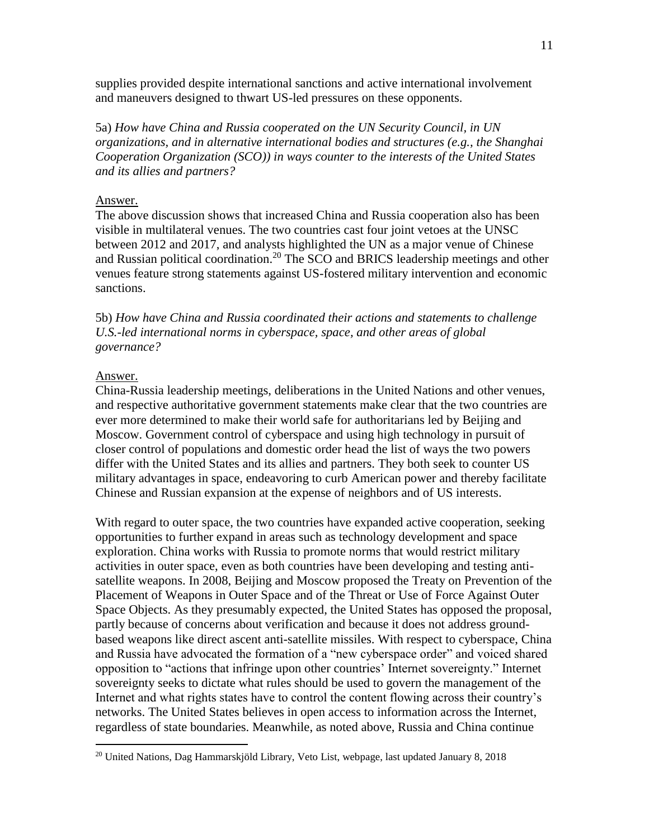supplies provided despite international sanctions and active international involvement and maneuvers designed to thwart US-led pressures on these opponents.

5a) *How have China and Russia cooperated on the UN Security Council, in UN organizations, and in alternative international bodies and structures (e.g., the Shanghai Cooperation Organization (SCO)) in ways counter to the interests of the United States and its allies and partners?*

### Answer.

The above discussion shows that increased China and Russia cooperation also has been visible in multilateral venues. The two countries cast four joint vetoes at the UNSC between 2012 and 2017, and analysts highlighted the UN as a major venue of Chinese and Russian political coordination.<sup>20</sup> The SCO and BRICS leadership meetings and other venues feature strong statements against US-fostered military intervention and economic sanctions.

5b) *How have China and Russia coordinated their actions and statements to challenge U.S.-led international norms in cyberspace, space, and other areas of global governance?*

### Answer.

 $\overline{a}$ 

China-Russia leadership meetings, deliberations in the United Nations and other venues, and respective authoritative government statements make clear that the two countries are ever more determined to make their world safe for authoritarians led by Beijing and Moscow. Government control of cyberspace and using high technology in pursuit of closer control of populations and domestic order head the list of ways the two powers differ with the United States and its allies and partners. They both seek to counter US military advantages in space, endeavoring to curb American power and thereby facilitate Chinese and Russian expansion at the expense of neighbors and of US interests.

With regard to outer space, the two countries have expanded active cooperation, seeking opportunities to further expand in areas such as technology development and space exploration. China works with Russia to promote norms that would restrict military activities in outer space, even as both countries have been developing and testing antisatellite weapons. In 2008, Beijing and Moscow proposed the Treaty on Prevention of the Placement of Weapons in Outer Space and of the Threat or Use of Force Against Outer Space Objects. As they presumably expected, the United States has opposed the proposal, partly because of concerns about verification and because it does not address groundbased weapons like direct ascent anti-satellite missiles. With respect to cyberspace, China and Russia have advocated the formation of a "new cyberspace order" and voiced shared opposition to "actions that infringe upon other countries' Internet sovereignty." Internet sovereignty seeks to dictate what rules should be used to govern the management of the Internet and what rights states have to control the content flowing across their country's networks. The United States believes in open access to information across the Internet, regardless of state boundaries. Meanwhile, as noted above, Russia and China continue

<sup>&</sup>lt;sup>20</sup> United Nations, Dag Hammarskjöld Library, Veto List, webpage, last updated January 8, 2018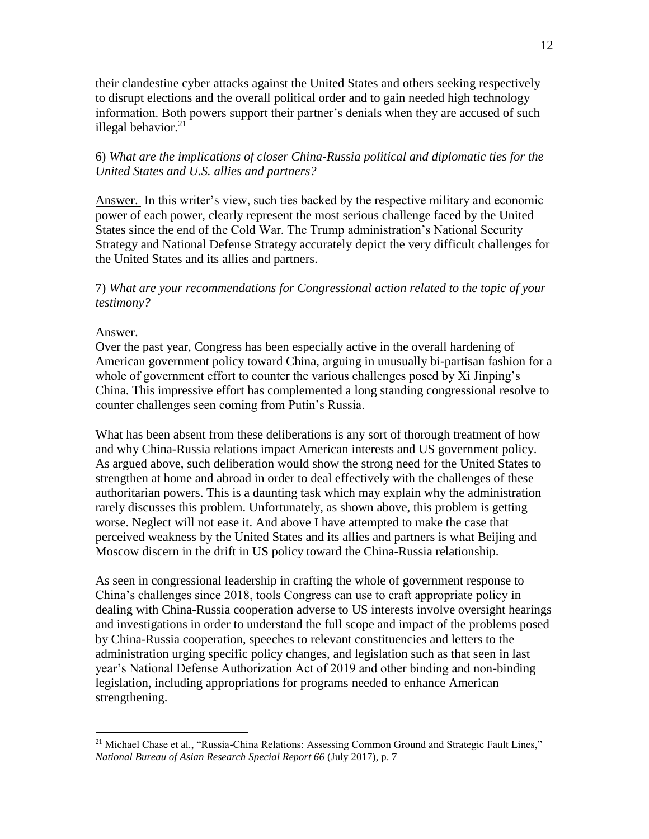their clandestine cyber attacks against the United States and others seeking respectively to disrupt elections and the overall political order and to gain needed high technology information. Both powers support their partner's denials when they are accused of such illegal behavior. $21$ 

6) *What are the implications of closer China-Russia political and diplomatic ties for the United States and U.S. allies and partners?*

Answer. In this writer's view, such ties backed by the respective military and economic power of each power, clearly represent the most serious challenge faced by the United States since the end of the Cold War. The Trump administration's National Security Strategy and National Defense Strategy accurately depict the very difficult challenges for the United States and its allies and partners.

7) *What are your recommendations for Congressional action related to the topic of your testimony?*

### Answer.

 $\overline{a}$ 

Over the past year, Congress has been especially active in the overall hardening of American government policy toward China, arguing in unusually bi-partisan fashion for a whole of government effort to counter the various challenges posed by Xi Jinping's China. This impressive effort has complemented a long standing congressional resolve to counter challenges seen coming from Putin's Russia.

What has been absent from these deliberations is any sort of thorough treatment of how and why China-Russia relations impact American interests and US government policy. As argued above, such deliberation would show the strong need for the United States to strengthen at home and abroad in order to deal effectively with the challenges of these authoritarian powers. This is a daunting task which may explain why the administration rarely discusses this problem. Unfortunately, as shown above, this problem is getting worse. Neglect will not ease it. And above I have attempted to make the case that perceived weakness by the United States and its allies and partners is what Beijing and Moscow discern in the drift in US policy toward the China-Russia relationship.

As seen in congressional leadership in crafting the whole of government response to China's challenges since 2018, tools Congress can use to craft appropriate policy in dealing with China-Russia cooperation adverse to US interests involve oversight hearings and investigations in order to understand the full scope and impact of the problems posed by China-Russia cooperation, speeches to relevant constituencies and letters to the administration urging specific policy changes, and legislation such as that seen in last year's National Defense Authorization Act of 2019 and other binding and non-binding legislation, including appropriations for programs needed to enhance American strengthening.

<sup>&</sup>lt;sup>21</sup> Michael Chase et al., "Russia-China Relations: Assessing Common Ground and Strategic Fault Lines," *National Bureau of Asian Research Special Report 66* (July 2017), p. 7